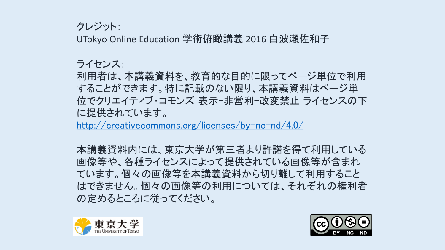クレジット:

UTokyo Online Education 学術俯瞰講義 2016 白波瀬佐和子

ライセンス:

利用者は、本講義資料を、教育的な目的に限ってページ単位で利用 することができます。特に記載のない限り、本講義資料はページ単 位でクリエイティブ・コモンズ 表示-非営利-改変禁止 ライセンスの下 に提供されています。

<http://creativecommons.org/licenses/by-nc-nd/4.0/>

本講義資料内には、東京大学が第三者より許諾を得て利用している 画像等や、各種ライセンスによって提供されている画像等が含まれ ています。個々の画像等を本講義資料から切り離して利用すること はできません。個々の画像等の利用については、それぞれの権利者 の定めるところに従ってください。



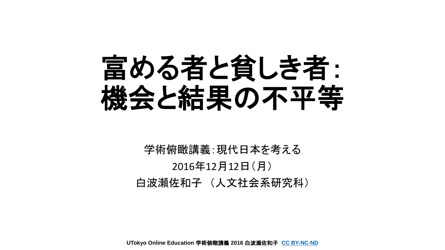

学術俯瞰講義:現代日本を考える 2016年12月12日(月) 白波瀬佐和子 (人文社会系研究科)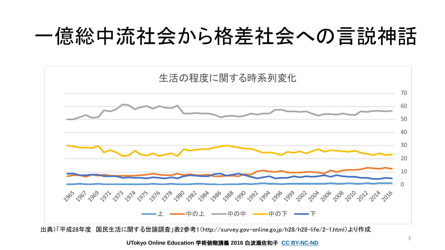## 一億総中流社会から格差社会への言説神話



出典)「平成28年度 国民生活に関する世論調査」表2参考1(http://survey.gov-online.go.jp/h28/h28-life/2-1.html)より作成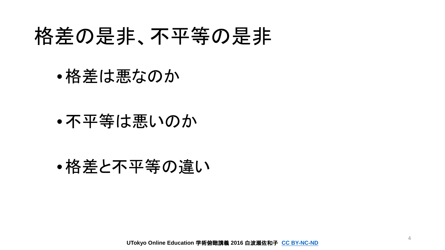## 格差の是非、不平等の是非

•格差は悪なのか

### •不平等は悪いのか

### •格差と不平等の違い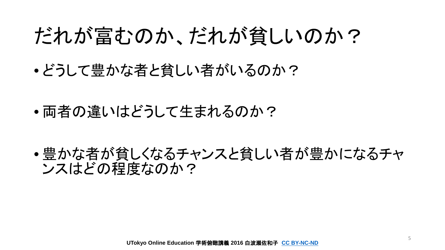## だれが富むのか、だれが貧しいのか?

- どうして豊かな者と貧しい者がいるのか?
- 両者の違いはどうして生まれるのか?

• 豊かな者が貧しくなるチャンスと貧しい者が豊かになるチャ ンスはどの程度なのか?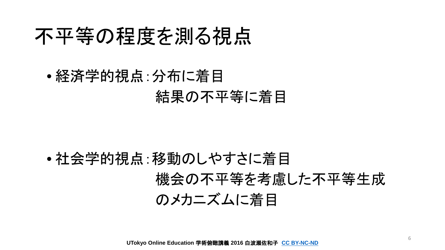## 不平等の程度を測る視点

• 経済学的視点:分布に着目 結果の不平等に着目

• 社会学的視点:移動のしやすさに着目 機会の不平等を考慮した不平等生成 のメカニズムに着目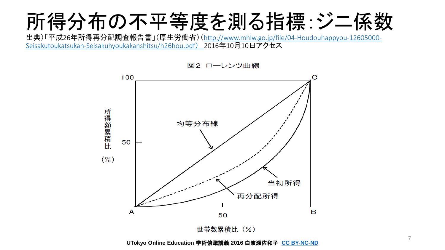

出典)「平成26年所得再分配調査報告書」(厚生労働省)([http://www.mhlw.go.jp/file/04-Houdouhappyou-12605000-](http://www.mhlw.go.jp/file/04-Houdouhappyou-12605000-Seisakutoukatsukan-Seisakuhyoukakanshitsu/h26hou.pdf%E3%80%802016%E5%B9%B412%E6%9C%8810) Seisakutoukatsukan-Seisakuhyoukakanshitsu/h26hou.pdf) 2016年10月10日アクセス



図2 ローレンツ曲線

**UTokyo Online Education** 学術俯瞰講義 **2016** 白波瀬佐和子 **[CC BY-NC-ND](http://creativecommons.org/licenses/by-nc-nd/4.0/)**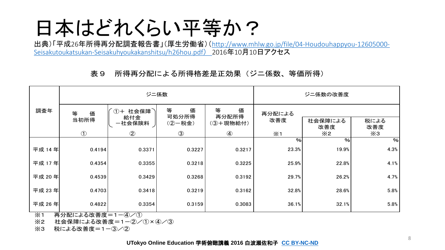# 日本はどれくらい平等か?

出典)「平成26年所得再分配調査報告書」(厚生労働省)([http://www.mhlw.go.jp/file/04-Houdouhappyou-12605000-](http://www.mhlw.go.jp/file/04-Houdouhappyou-12605000-Seisakutoukatsukan-Seisakuhyoukakanshitsu/h26hou.pdf%E3%80%802016%E5%B9%B412%E6%9C%8810) Seisakutoukatsukan-Seisakuhyoukakanshitsu/h26hou.pdf) 2016年10月10日アクセス

### 表9 所得再分配による所得格差是正効果(ジニ係数、等価所得)

|        | ジニ係数       |                |                 |                 | ジニ係数の改善度   |                |             |
|--------|------------|----------------|-----------------|-----------------|------------|----------------|-------------|
| 調査年    | 等<br>価     | ①+ 社会保障<br>給付金 | 等<br>価<br>可処分所得 | 等<br>価<br>再分配所得 | 再分配による     |                |             |
|        | 当初所得       | 一社会保険料         | (2) 一税金)        | (3)+現物給付)       | 改善度        | 社会保障による<br>改善度 | 税による<br>改善度 |
|        | $\bigcirc$ | $\circled{2}$  | $\circled{3}$   | $\circled{4}$   | $\times 1$ | $\times 2$     | ×3          |
|        |            |                |                 |                 | %          | $\%$           | %           |
| 平成 14年 | 0.4194     | 0.3371         | 0.3227          | 0.3217          | 23.3%      | 19.9%          | 4.3%        |
| 平成 17年 | 0.4354     | 0.3355         | 0.3218          | 0.3225          | 25.9%      | 22.8%          | 4.1%        |
| 平成 20年 | 0.4539     | 0.3429         | 0.3268          | 0.3192          | 29.7%      | 26.2%          | 4.7%        |
| 平成 23年 | 0.4703     | 0.3418         | 0.3219          | 0.3162          | 32.8%      | 28.6%          | 5.8%        |
| 平成 26年 | 0.4822     | 0.3354         | 0.3159          | 0.3083          | 36.1%      | 32.1%          | 5.8%        |

※1 再分配による改善度=1-4/0

※2 社会保障による改善度=1-2/(1×4/3)

※3 税による改善度=1-3/2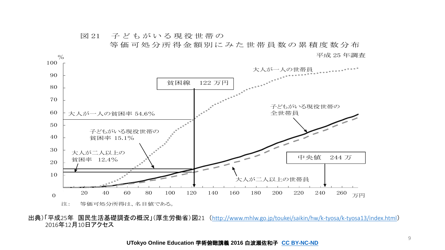図 21 子どもがいる現役世帯の

等価可処分所得金額別にみた世帯員数の累積度数分布 % 平成 25 年調査



出典)「平成25年 国民生活基礎調査の概況」(厚生労働省)図21 (<http://www.mhlw.go.jp/toukei/saikin/hw/k-tyosa/k-tyosa13/index.html>) 2016年12月10日アクセス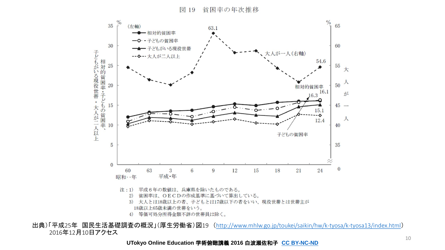図 19 貧困率の年次推移



出典)「平成25年 国民生活基礎調査の概況」(厚生労働省)図19 (<http://www.mhlw.go.jp/toukei/saikin/hw/k-tyosa/k-tyosa13/index.html>) 2016年12月10日アクセス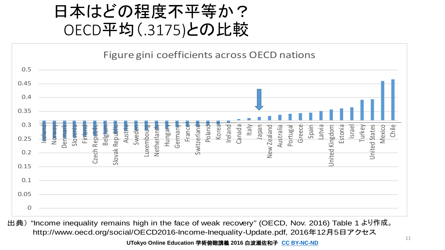### 日本はどの程度不平等か? OECD平均(.3175)との比較



出典) "Income inequality remains high in the face of weak recovery" (OECD, Nov. 2016) Table 1 より作成。http://www.oecd.org/social/OECD2016-Income-Inequality-Update.pdf, 2016年12月5日アクセス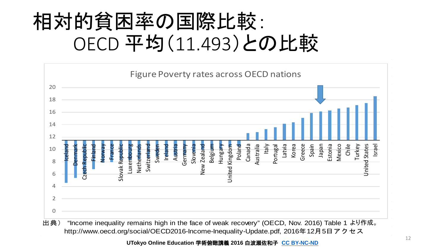# 相対的貧困率の国際比較: OECD 平均(11.493)との比較

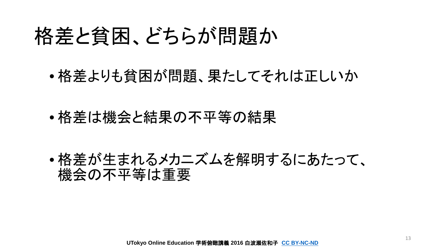## 格差と貧困、どちらが問題か

• 格差よりも貧困が問題、果たしてそれは正しいか

• 格差は機会と結果の不平等の結果

• 格差が生まれるメカニズムを解明するにあたって、 機会の不平等は重要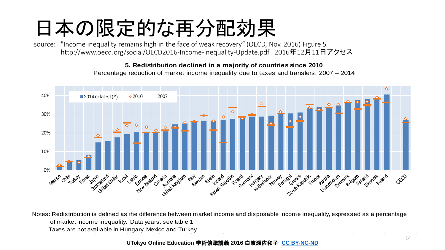# 日本の限定的な再分配効果

source: "Income inequality remains high in the face of weak recovery" (OECD, Nov. 2016) Figure 5 http://www.oecd.org/social/OECD2016-Income-Inequality-Update.pdf 2016年12月11日アクセス

#### **5. Redistribution declined in a majority of countries since 2010**

Percentage reduction of market income inequality due to taxes and transfers, 2007 – 2014



Notes: Redistribution is defined as the difference between market income and disposable income inequality, expressed as a percentage of market income inequality. Data years: see table 1 Taxes are not available in Hungary, Mexico and Turkey.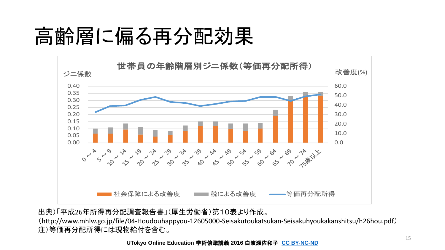# 高齢層に偏る再分配効果



出典)「平成26年所得再分配調査報告書」(厚生労働省)第10表より作成。

(http://www.mhlw.go.jp/file/04-Houdouhappyou-12605000-Seisakutoukatsukan-Seisakuhyoukakanshitsu/h26hou.pdf) 注)等価再分配所得には現物給付を含む。